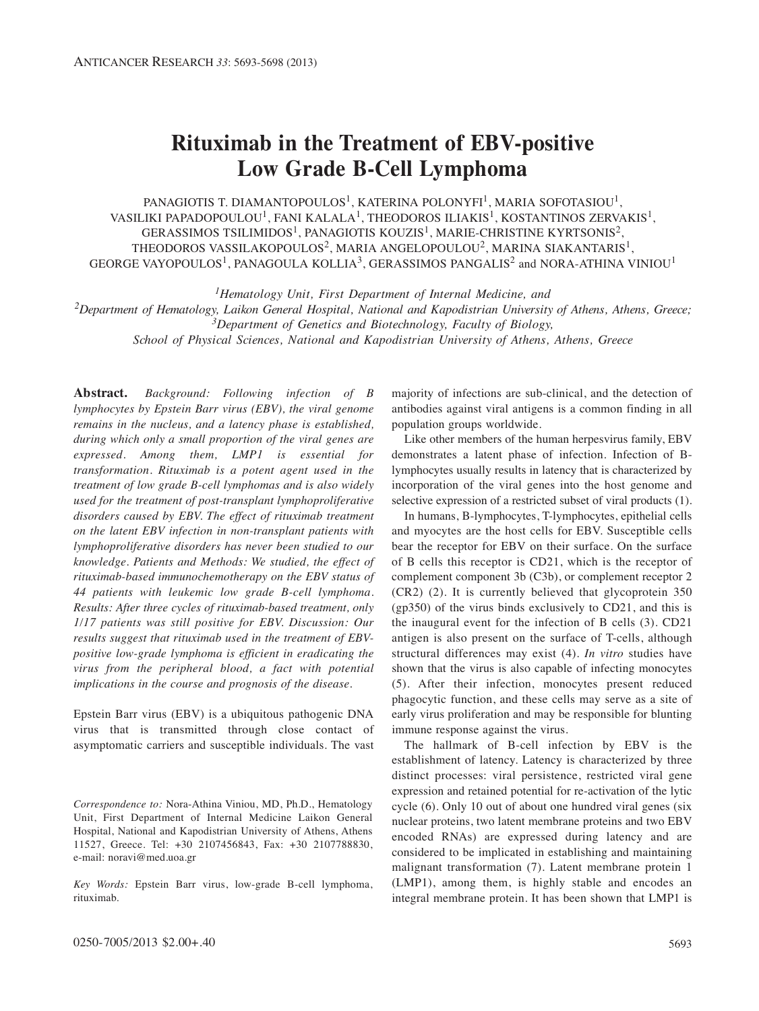# **Rituximab in the Treatment of EBV-positive Low Grade B-Cell Lymphoma**

PANAGIOTIS T. DIAMANTOPOULOS<sup>1</sup>, KATERINA POLONYFI<sup>1</sup>, MARIA SOFOTASIOU<sup>1</sup>, VASILIKI PAPADOPOULOU<sup>1</sup>, FANI KALALA<sup>1</sup>, THEODOROS ILIAKIS<sup>1</sup>, KOSTANTINOS ZERVAKIS<sup>1</sup>, GERASSIMOS TSILIMIDOS<sup>1</sup>, PANAGIOTIS KOUZIS<sup>1</sup>, MARIE-CHRISTINE KYRTSONIS<sup>2</sup>, THEODOROS VASSILAKOPOULOS<sup>2</sup>, MARIA ANGELOPOULOU<sup>2</sup>, MARINA SIAKANTARIS<sup>1</sup>, GEORGE VAYOPOULOS<sup>1</sup>, PANAGOULA KOLLIA<sup>3</sup>, GERASSIMOS PANGALIS<sup>2</sup> and NORA-ATHINA VINIOU<sup>1</sup>

*1Hematology Unit, First Department of Internal Medicine, and* 

*2Department of Hematology, Laikon General Hospital, National and Kapodistrian University of Athens, Athens, Greece; 3Department of Genetics and Biotechnology, Faculty of Biology, School of Physical Sciences, National and Kapodistrian University of Athens, Athens, Greece*

**Abstract.** *Background: Following infection of B lymphocytes by Epstein Barr virus (EBV), the viral genome remains in the nucleus, and a latency phase is established, during which only a small proportion of the viral genes are expressed. Among them, LMP1 is essential for transformation. Rituximab is a potent agent used in the treatment of low grade B-cell lymphomas and is also widely used for the treatment of post-transplant lymphoproliferative disorders caused by EBV. The effect of rituximab treatment on the latent EBV infection in non-transplant patients with lymphoproliferative disorders has never been studied to our knowledge. Patients and Methods: We studied, the effect of rituximab-based immunochemotherapy on the EBV status of 44 patients with leukemic low grade B-cell lymphoma. Results: After three cycles of rituximab-based treatment, only 1/17 patients was still positive for EBV. Discussion: Our results suggest that rituximab used in the treatment of EBVpositive low-grade lymphoma is efficient in eradicating the virus from the peripheral blood, a fact with potential implications in the course and prognosis of the disease.*

Epstein Barr virus (EBV) is a ubiquitous pathogenic DNA virus that is transmitted through close contact of asymptomatic carriers and susceptible individuals. The vast

*Correspondence to:* Nora-Athina Viniou, MD, Ph.D., Hematology Unit, First Department of Internal Medicine Laikon General Hospital, National and Kapodistrian University of Athens, Athens 11527, Greece. Tel: +30 2107456843, Fax: +30 2107788830, e-mail: noravi@med.uoa.gr

*Key Words:* Epstein Barr virus, low-grade B-cell lymphoma, rituximab.

majority of infections are sub-clinical, and the detection of antibodies against viral antigens is a common finding in all population groups worldwide.

Like other members of the human herpesvirus family, EBV demonstrates a latent phase of infection. Infection of Blymphocytes usually results in latency that is characterized by incorporation of the viral genes into the host genome and selective expression of a restricted subset of viral products (1).

In humans, B-lymphocytes, T-lymphocytes, epithelial cells and myocytes are the host cells for EBV. Susceptible cells bear the receptor for EBV on their surface. On the surface of B cells this receptor is CD21, which is the receptor of complement component 3b (C3b), or complement receptor 2 (CR2) (2). It is currently believed that glycoprotein 350 (gp350) of the virus binds exclusively to CD21, and this is the inaugural event for the infection of B cells (3). CD21 antigen is also present on the surface of T-cells, although structural differences may exist (4). *In vitro* studies have shown that the virus is also capable of infecting monocytes (5). After their infection, monocytes present reduced phagocytic function, and these cells may serve as a site of early virus proliferation and may be responsible for blunting immune response against the virus.

The hallmark of B-cell infection by EBV is the establishment of latency. Latency is characterized by three distinct processes: viral persistence, restricted viral gene expression and retained potential for re-activation of the lytic cycle (6). Only 10 out of about one hundred viral genes (six nuclear proteins, two latent membrane proteins and two EBV encoded RNAs) are expressed during latency and are considered to be implicated in establishing and maintaining malignant transformation (7). Latent membrane protein 1 (LMP1), among them, is highly stable and encodes an integral membrane protein. It has been shown that LMP1 is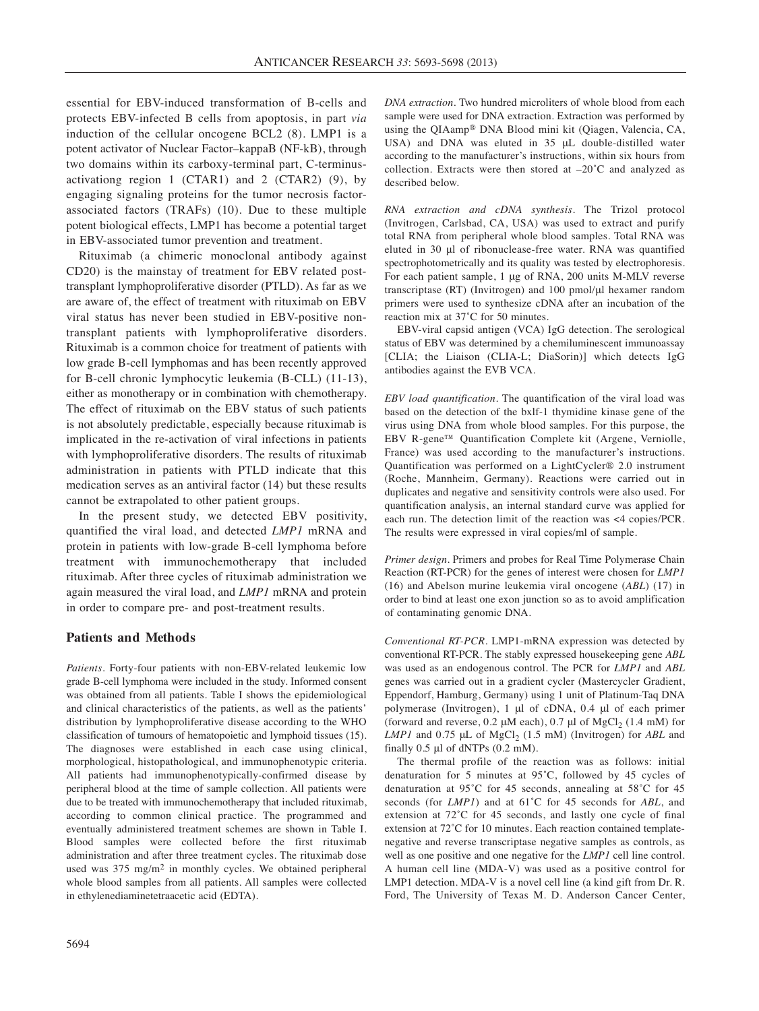essential for EBV-induced transformation of B-cells and protects EBV-infected B cells from apoptosis, in part *via* induction of the cellular oncogene BCL2 (8). LMP1 is a potent activator of Nuclear Factor–kappaB (NF-kB), through two domains within its carboxy-terminal part, C-terminusactivationg region 1 (CTAR1) and 2 (CTAR2) (9), by engaging signaling proteins for the tumor necrosis factorassociated factors (TRAFs) (10). Due to these multiple potent biological effects, LMP1 has become a potential target in EBV-associated tumor prevention and treatment.

Rituximab (a chimeric monoclonal antibody against CD20) is the mainstay of treatment for EBV related posttransplant lymphoproliferative disorder (PTLD). As far as we are aware of, the effect of treatment with rituximab on EBV viral status has never been studied in EBV-positive nontransplant patients with lymphoproliferative disorders. Rituximab is a common choice for treatment of patients with low grade B-cell lymphomas and has been recently approved for B-cell chronic lymphocytic leukemia (B-CLL) (11-13), either as monotherapy or in combination with chemotherapy. The effect of rituximab on the EBV status of such patients is not absolutely predictable, especially because rituximab is implicated in the re-activation of viral infections in patients with lymphoproliferative disorders. The results of rituximab administration in patients with PTLD indicate that this medication serves as an antiviral factor (14) but these results cannot be extrapolated to other patient groups.

In the present study, we detected EBV positivity, quantified the viral load, and detected *LMP1* mRNA and protein in patients with low-grade B-cell lymphoma before treatment with immunochemotherapy that included rituximab. After three cycles of rituximab administration we again measured the viral load, and *LMP1* mRNA and protein in order to compare pre- and post-treatment results.

#### **Patients and Methods**

*Patients.* Forty-four patients with non-EBV-related leukemic low grade B-cell lymphoma were included in the study. Informed consent was obtained from all patients. Table I shows the epidemiological and clinical characteristics of the patients, as well as the patients' distribution by lymphoproliferative disease according to the WHO classification of tumours of hematopoietic and lymphoid tissues (15). The diagnoses were established in each case using clinical, morphological, histopathological, and immunophenotypic criteria. All patients had immunophenotypically-confirmed disease by peripheral blood at the time of sample collection. All patients were due to be treated with immunochemotherapy that included rituximab, according to common clinical practice. The programmed and eventually administered treatment schemes are shown in Table I. Blood samples were collected before the first rituximab administration and after three treatment cycles. The rituximab dose used was 375 mg/m<sup>2</sup> in monthly cycles. We obtained peripheral whole blood samples from all patients. All samples were collected in ethylenediaminetetraacetic acid (EDTA).

*DNA extraction.* Two hundred microliters of whole blood from each sample were used for DNA extraction. Extraction was performed by using the QIAamp® DNA Blood mini kit (Qiagen, Valencia, CA, USA) and DNA was eluted in 35 μL double-distilled water according to the manufacturer's instructions, within six hours from collection. Extracts were then stored at –20˚C and analyzed as described below.

*RNA extraction and cDNA synthesis.* The Trizol protocol (Invitrogen, Carlsbad, CA, USA) was used to extract and purify total RNA from peripheral whole blood samples. Total RNA was eluted in 30 μl of ribonuclease-free water. RNA was quantified spectrophotometrically and its quality was tested by electrophoresis. For each patient sample, 1 μg of RNA, 200 units M-MLV reverse transcriptase (RT) (Invitrogen) and 100 pmol/μl hexamer random primers were used to synthesize cDNA after an incubation of the reaction mix at 37˚C for 50 minutes.

EBV-viral capsid antigen (VCA) IgG detection. The serological status of EBV was determined by a chemiluminescent immunoassay [CLIA; the Liaison (CLIA-L; DiaSorin)] which detects IgG antibodies against the EVB VCA.

*EBV load quantification.* The quantification of the viral load was based on the detection of the bxlf-1 thymidine kinase gene of the virus using DNA from whole blood samples. For this purpose, the EBV R-gene™ Quantification Complete kit (Argene, Verniolle, France) was used according to the manufacturer's instructions. Quantification was performed on a LightCycler® 2.0 instrument (Roche, Mannheim, Germany). Reactions were carried out in duplicates and negative and sensitivity controls were also used. For quantification analysis, an internal standard curve was applied for each run. The detection limit of the reaction was <4 copies/PCR. The results were expressed in viral copies/ml of sample.

*Primer design.* Primers and probes for Real Time Polymerase Chain Reaction (RT-PCR) for the genes of interest were chosen for *LMP1* (16) and Abelson murine leukemia viral oncogene (*ABL*) (17) in order to bind at least one exon junction so as to avoid amplification of contaminating genomic DNA.

*Conventional RT-PCR.* LMP1-mRNA expression was detected by conventional RT-PCR. The stably expressed housekeeping gene *ABL* was used as an endogenous control. The PCR for *LMP1* and *ABL* genes was carried out in a gradient cycler (Mastercycler Gradient, Eppendorf, Hamburg, Germany) using 1 unit of Platinum-Taq DNA polymerase (Invitrogen), 1 μl of cDNA, 0.4 μl of each primer (forward and reverse,  $0.2 \mu M$  each),  $0.7 \mu I$  of  $MgCl<sub>2</sub> (1.4 mM)$  for *LMP1* and 0.75 μL of MgCl<sub>2</sub> (1.5 mM) (Invitrogen) for *ABL* and finally 0.5 μl of dNTPs (0.2 mM).

The thermal profile of the reaction was as follows: initial denaturation for 5 minutes at 95˚C, followed by 45 cycles of denaturation at 95˚C for 45 seconds, annealing at 58˚C for 45 seconds (for *LMP1*) and at 61˚C for 45 seconds for *ABL*, and extension at 72˚C for 45 seconds, and lastly one cycle of final extension at 72˚C for 10 minutes. Each reaction contained templatenegative and reverse transcriptase negative samples as controls, as well as one positive and one negative for the *LMP1* cell line control. A human cell line (MDA-V) was used as a positive control for LMP1 detection. MDA-V is a novel cell line (a kind gift from Dr. R. Ford, The University of Texas M. D. Anderson Cancer Center,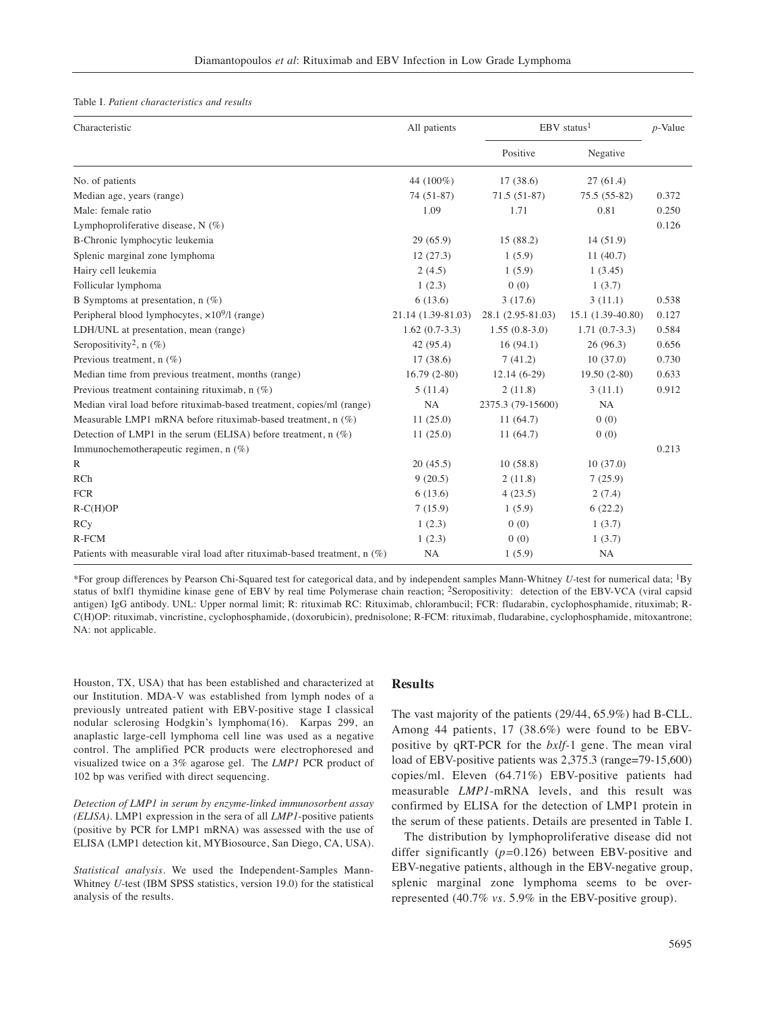#### Table I. *Patient characteristics and results*

| Characteristic                                                               | All patients       | $EBV$ status <sup>1</sup> |                   | $p$ -Value |
|------------------------------------------------------------------------------|--------------------|---------------------------|-------------------|------------|
|                                                                              |                    | Positive                  | Negative          |            |
| No. of patients                                                              | 44 (100%)          | 17(38.6)                  | 27(61.4)          |            |
| Median age, years (range)                                                    | 74 (51-87)         | $71.5(51-87)$             | $75.5(55-82)$     | 0.372      |
| Male: female ratio                                                           | 1.09               | 1.71                      | 0.81              | 0.250      |
| Lymphoproliferative disease, $N$ (%)                                         |                    |                           |                   | 0.126      |
| B-Chronic lymphocytic leukemia                                               | 29(65.9)           | 15 (88.2)                 | 14(51.9)          |            |
| Splenic marginal zone lymphoma                                               | 12(27.3)           | 1(5.9)                    | 11(40.7)          |            |
| Hairy cell leukemia                                                          | 2(4.5)             | 1(5.9)                    | 1(3.45)           |            |
| Follicular lymphoma                                                          | 1(2.3)             | 0(0)                      | 1(3.7)            |            |
| B Symptoms at presentation, $n$ (%)                                          | 6(13.6)            | 3(17.6)                   | 3(11.1)           | 0.538      |
| Peripheral blood lymphocytes, $\times 10^9$ /l (range)                       | 21.14 (1.39-81.03) | 28.1 (2.95-81.03)         | 15.1 (1.39-40.80) | 0.127      |
| LDH/UNL at presentation, mean (range)                                        | $1.62(0.7-3.3)$    | $1.55(0.8-3.0)$           | $1.71(0.7-3.3)$   | 0.584      |
| Seropositivity <sup>2</sup> , n $(\%)$                                       | 42 (95.4)          | 16(94.1)                  | 26(96.3)          | 0.656      |
| Previous treatment, $n$ (%)                                                  | 17 (38.6)          | 7(41.2)                   | 10(37.0)          | 0.730      |
| Median time from previous treatment, months (range)                          | $16.79(2-80)$      | $12.14(6-29)$             | $19.50(2-80)$     | 0.633      |
| Previous treatment containing rituximab, $n$ (%)                             | 5(11.4)            | 2(11.8)                   | 3(11.1)           | 0.912      |
| Median viral load before rituximab-based treatment, copies/ml (range)        | <b>NA</b>          | 2375.3 (79-15600)         | NA                |            |
| Measurable LMP1 mRNA before rituximab-based treatment, n (%)                 | 11(25.0)           | 11(64.7)                  | 0(0)              |            |
| Detection of LMP1 in the serum (ELISA) before treatment, $n$ (%)             | 11(25.0)           | 11(64.7)                  | 0(0)              |            |
| Immunochemotherapeutic regimen, n (%)                                        |                    |                           |                   | 0.213      |
| $\mathbb{R}$                                                                 | 20(45.5)           | 10(58.8)                  | 10(37.0)          |            |
| RCh                                                                          | 9(20.5)            | 2(11.8)                   | 7(25.9)           |            |
| <b>FCR</b>                                                                   | 6(13.6)            | 4(23.5)                   | 2(7.4)            |            |
| $R-C(H)OP$                                                                   | 7(15.9)            | 1(5.9)                    | 6(22.2)           |            |
| <b>RCy</b>                                                                   | 1(2.3)             | 0(0)                      | 1(3.7)            |            |
| $R$ - $FCM$                                                                  | 1(2.3)             | 0(0)                      | 1(3.7)            |            |
| Patients with measurable viral load after rituximab-based treatment, $n$ (%) | NA                 | 1(5.9)                    | NA                |            |

\*For group differences by Pearson Chi-Squared test for categorical data, and by independent samples Mann-Whitney *U-*test for numerical data; 1By status of bxlf1 thymidine kinase gene of EBV by real time Polymerase chain reaction; 2Seropositivity: detection of the EBV-VCA (viral capsid antigen) IgG antibody. UNL: Upper normal limit; R: rituximab RC: Rituximab, chlorambucil; FCR: fludarabin, cyclophosphamide, rituximab; R-C(H)OP: rituximab, vincristine, cyclophosphamide, (doxorubicin), prednisolone; R-FCM: rituximab, fludarabine, cyclophosphamide, mitoxantrone; NA: not applicable.

Houston, TX, USA) that has been established and characterized at our Institution. MDA-V was established from lymph nodes of a previously untreated patient with EBV-positive stage I classical nodular sclerosing Hodgkin's lymphoma(16). Karpas 299, an anaplastic large-cell lymphoma cell line was used as a negative control. The amplified PCR products were electrophoresed and visualized twice on a 3% agarose gel. The *LMP1* PCR product of 102 bp was verified with direct sequencing.

*Detection of LMP1 in serum by enzyme-linked immunosorbent assay (ELISA).* LMP1 expression in the sera of all *LMP1*-positive patients (positive by PCR for LMP1 mRNA) was assessed with the use of ELISA (LMP1 detection kit, MYBiosource, San Diego, CA, USA).

*Statistical analysis.* We used the Independent-Samples Mann-Whitney *U*-test (IBM SPSS statistics, version 19.0) for the statistical analysis of the results.

#### **Results**

The vast majority of the patients (29/44, 65.9%) had B-CLL. Among 44 patients, 17 (38.6%) were found to be EBVpositive by qRT-PCR for the *bxlf-*1 gene. The mean viral load of EBV-positive patients was 2,375.3 (range=79-15,600) copies/ml. Eleven (64.71%) EBV-positive patients had measurable *LMP1*-mRNA levels, and this result was confirmed by ELISA for the detection of LMP1 protein in the serum of these patients. Details are presented in Table I.

The distribution by lymphoproliferative disease did not differ significantly (*p=*0.126) between EBV-positive and EBV-negative patients, although in the EBV-negative group, splenic marginal zone lymphoma seems to be overrepresented (40.7% *vs.* 5.9% in the EBV-positive group).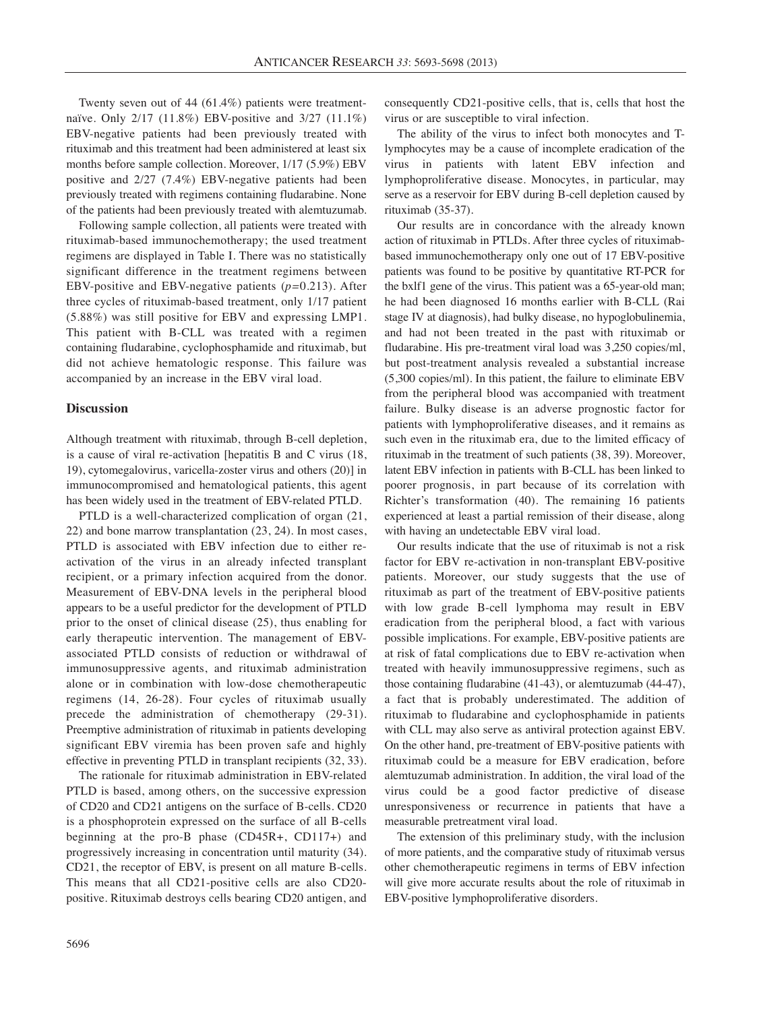Twenty seven out of 44 (61.4%) patients were treatmentnaïve. Only 2/17 (11.8%) EBV-positive and 3/27 (11.1%) EBV-negative patients had been previously treated with rituximab and this treatment had been administered at least six months before sample collection. Moreover, 1/17 (5.9%) EBV positive and 2/27 (7.4%) EBV-negative patients had been previously treated with regimens containing fludarabine. None of the patients had been previously treated with alemtuzumab.

Following sample collection, all patients were treated with rituximab-based immunochemotherapy; the used treatment regimens are displayed in Table I. There was no statistically significant difference in the treatment regimens between EBV-positive and EBV-negative patients (*p=*0.213). After three cycles of rituximab-based treatment, only 1/17 patient (5.88%) was still positive for EBV and expressing LMP1. This patient with B-CLL was treated with a regimen containing fludarabine, cyclophosphamide and rituximab, but did not achieve hematologic response. This failure was accompanied by an increase in the EBV viral load.

## **Discussion**

Although treatment with rituximab, through B-cell depletion, is a cause of viral re-activation [hepatitis B and C virus (18, 19), cytomegalovirus, varicella-zoster virus and others (20)] in immunocompromised and hematological patients, this agent has been widely used in the treatment of EBV-related PTLD.

PTLD is a well-characterized complication of organ (21, 22) and bone marrow transplantation (23, 24). In most cases, PTLD is associated with EBV infection due to either reactivation of the virus in an already infected transplant recipient, or a primary infection acquired from the donor. Measurement of EBV-DNA levels in the peripheral blood appears to be a useful predictor for the development of PTLD prior to the onset of clinical disease (25), thus enabling for early therapeutic intervention. The management of EBVassociated PTLD consists of reduction or withdrawal of immunosuppressive agents, and rituximab administration alone or in combination with low-dose chemotherapeutic regimens (14, 26-28). Four cycles of rituximab usually precede the administration of chemotherapy (29-31). Preemptive administration of rituximab in patients developing significant EBV viremia has been proven safe and highly effective in preventing PTLD in transplant recipients (32, 33).

The rationale for rituximab administration in EBV-related PTLD is based, among others, on the successive expression of CD20 and CD21 antigens on the surface of B-cells. CD20 is a phosphoprotein expressed on the surface of all B-cells beginning at the pro-B phase (CD45R+, CD117+) and progressively increasing in concentration until maturity (34). CD21, the receptor of EBV, is present on all mature B-cells. This means that all CD21-positive cells are also CD20 positive. Rituximab destroys cells bearing CD20 antigen, and consequently CD21-positive cells, that is, cells that host the virus or are susceptible to viral infection.

The ability of the virus to infect both monocytes and Tlymphocytes may be a cause of incomplete eradication of the virus in patients with latent EBV infection and lymphoproliferative disease. Monocytes, in particular, may serve as a reservoir for EBV during B-cell depletion caused by rituximab (35-37).

Our results are in concordance with the already known action of rituximab in PTLDs. After three cycles of rituximabbased immunochemotherapy only one out of 17 EBV-positive patients was found to be positive by quantitative RT-PCR for the bxlf1 gene of the virus. This patient was a 65-year-old man; he had been diagnosed 16 months earlier with B-CLL (Rai stage IV at diagnosis), had bulky disease, no hypoglobulinemia, and had not been treated in the past with rituximab or fludarabine. His pre-treatment viral load was 3,250 copies/ml, but post-treatment analysis revealed a substantial increase (5,300 copies/ml). In this patient, the failure to eliminate EBV from the peripheral blood was accompanied with treatment failure. Bulky disease is an adverse prognostic factor for patients with lymphoproliferative diseases, and it remains as such even in the rituximab era, due to the limited efficacy of rituximab in the treatment of such patients (38, 39). Moreover, latent EBV infection in patients with B-CLL has been linked to poorer prognosis, in part because of its correlation with Richter's transformation (40). The remaining 16 patients experienced at least a partial remission of their disease, along with having an undetectable EBV viral load.

Our results indicate that the use of rituximab is not a risk factor for EBV re-activation in non-transplant EBV-positive patients. Moreover, our study suggests that the use of rituximab as part of the treatment of EBV-positive patients with low grade B-cell lymphoma may result in EBV eradication from the peripheral blood, a fact with various possible implications. For example, EBV-positive patients are at risk of fatal complications due to EBV re-activation when treated with heavily immunosuppressive regimens, such as those containing fludarabine (41-43), or alemtuzumab (44-47), a fact that is probably underestimated. The addition of rituximab to fludarabine and cyclophosphamide in patients with CLL may also serve as antiviral protection against EBV. On the other hand, pre-treatment of EBV-positive patients with rituximab could be a measure for EBV eradication, before alemtuzumab administration. In addition, the viral load of the virus could be a good factor predictive of disease unresponsiveness or recurrence in patients that have a measurable pretreatment viral load.

The extension of this preliminary study, with the inclusion of more patients, and the comparative study of rituximab versus other chemotherapeutic regimens in terms of EBV infection will give more accurate results about the role of rituximab in EBV-positive lymphoproliferative disorders.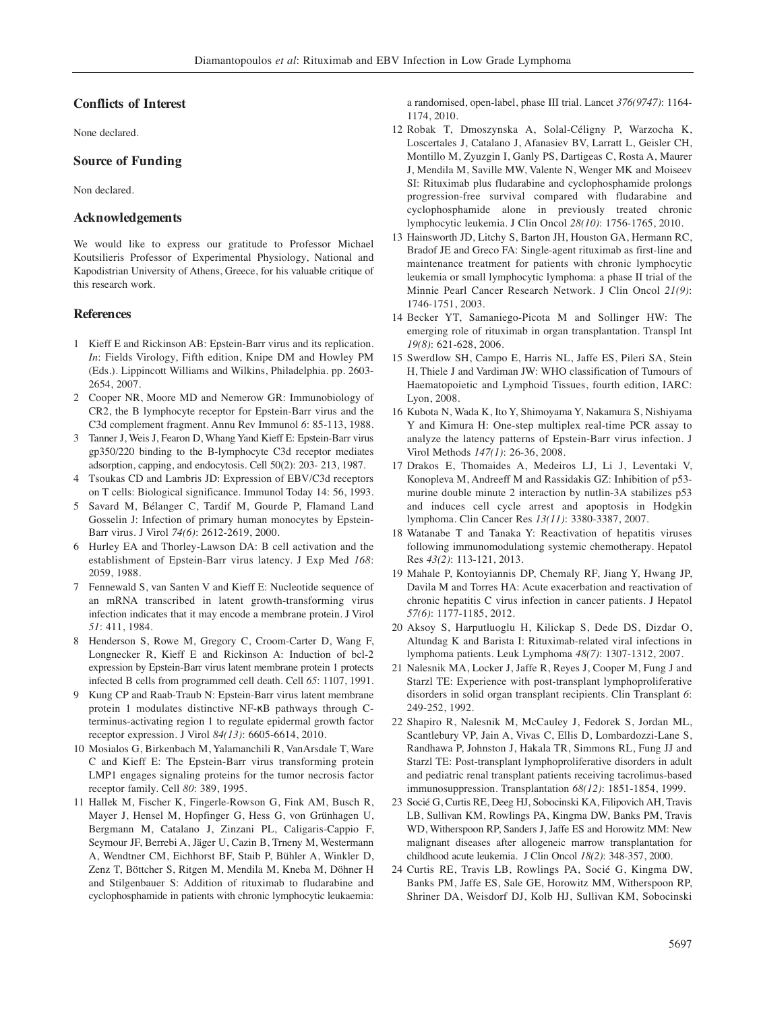#### **Conflicts of Interest**

None declared.

## **Source of Funding**

Non declared.

### **Acknowledgements**

We would like to express our gratitude to Professor Michael Koutsilieris Professor of Experimental Physiology, National and Kapodistrian University of Athens, Greece, for his valuable critique of this research work.

# **References**

- 1 Kieff E and Rickinson AB: Epstein-Barr virus and its replication. *In*: Fields Virology, Fifth edition, Knipe DM and Howley PM (Eds.). Lippincott Williams and Wilkins, Philadelphia. pp. 2603- 2654, 2007.
- 2 Cooper NR, Moore MD and Nemerow GR: Immunobiology of CR2, the B lymphocyte receptor for Epstein-Barr virus and the C3d complement fragment. Annu Rev Immunol *6*: 85-113, 1988.
- 3 Tanner J, Weis J, Fearon D, Whang Yand Kieff E: Epstein-Barr virus gp350/220 binding to the B-lymphocyte C3d receptor mediates adsorption, capping, and endocytosis. Cell 50(2): 203- 213, 1987.
- 4 Tsoukas CD and Lambris JD: Expression of EBV/C3d receptors on T cells: Biological significance. Immunol Today 14: 56, 1993.
- 5 Savard M, Bélanger C, Tardif M, Gourde P, Flamand Land Gosselin J: Infection of primary human monocytes by Epstein-Barr virus. J Virol *74(6)*: 2612-2619, 2000.
- 6 Hurley EA and Thorley-Lawson DA: B cell activation and the establishment of Epstein-Barr virus latency. J Exp Med *168*: 2059, 1988.
- 7 Fennewald S, van Santen V and Kieff E: Nucleotide sequence of an mRNA transcribed in latent growth-transforming virus infection indicates that it may encode a membrane protein. J Virol *51*: 411, 1984.
- 8 Henderson S, Rowe M, Gregory C, Croom-Carter D, Wang F, Longnecker R, Kieff E and Rickinson A: Induction of bcl-2 expression by Epstein-Barr virus latent membrane protein 1 protects infected B cells from programmed cell death. Cell *65*: 1107, 1991.
- 9 Kung CP and Raab-Traub N: Epstein-Barr virus latent membrane protein 1 modulates distinctive NF-κB pathways through Cterminus-activating region 1 to regulate epidermal growth factor receptor expression. J Virol *84(13)*: 6605-6614, 2010.
- 10 Mosialos G, Birkenbach M, Yalamanchili R, VanArsdale T, Ware C and Kieff E: The Epstein-Barr virus transforming protein LMP1 engages signaling proteins for the tumor necrosis factor receptor family. Cell *80*: 389, 1995.
- 11 Hallek M, Fischer K, Fingerle-Rowson G, Fink AM, Busch R, Mayer J, Hensel M, Hopfinger G, Hess G, von Grünhagen U, Bergmann M, Catalano J, Zinzani PL, Caligaris-Cappio F, Seymour JF, Berrebi A, Jäger U, Cazin B, Trneny M, Westermann A, Wendtner CM, Eichhorst BF, Staib P, Bühler A, Winkler D, Zenz T, Böttcher S, Ritgen M, Mendila M, Kneba M, Döhner H and Stilgenbauer S: Addition of rituximab to fludarabine and cyclophosphamide in patients with chronic lymphocytic leukaemia:

a randomised, open-label, phase III trial. Lancet *376(9747)*: 1164- 1174, 2010.

- 12 Robak T, Dmoszynska A, Solal-Céligny P, Warzocha K, Loscertales J, Catalano J, Afanasiev BV, Larratt L, Geisler CH, Montillo M, Zyuzgin I, Ganly PS, Dartigeas C, Rosta A, Maurer J, Mendila M, Saville MW, Valente N, Wenger MK and Moiseev SI: Rituximab plus fludarabine and cyclophosphamide prolongs progression-free survival compared with fludarabine and cyclophosphamide alone in previously treated chronic lymphocytic leukemia. J Clin Oncol *28(10)*: 1756-1765, 2010.
- 13 Hainsworth JD, Litchy S, Barton JH, Houston GA, Hermann RC, Bradof JE and Greco FA: Single-agent rituximab as first-line and maintenance treatment for patients with chronic lymphocytic leukemia or small lymphocytic lymphoma: a phase II trial of the Minnie Pearl Cancer Research Network. J Clin Oncol *21(9)*: 1746-1751, 2003.
- 14 Becker YT, Samaniego-Picota M and Sollinger HW: The emerging role of rituximab in organ transplantation. Transpl Int *19(8)*: 621-628, 2006.
- 15 Swerdlow SH, Campo E, Harris NL, Jaffe ES, Pileri SA, Stein H, Thiele J and Vardiman JW: WHO classification of Tumours of Haematopoietic and Lymphoid Tissues, fourth edition, IARC: Lyon, 2008.
- 16 Kubota N, Wada K, Ito Y, Shimoyama Y, Nakamura S, Nishiyama Y and Kimura H: One-step multiplex real-time PCR assay to analyze the latency patterns of Epstein-Barr virus infection. J Virol Methods *147(1)*: 26-36, 2008.
- 17 Drakos E, Thomaides A, Medeiros LJ, Li J, Leventaki V, Konopleva M, Andreeff M and Rassidakis GZ: Inhibition of p53 murine double minute 2 interaction by nutlin-3A stabilizes p53 and induces cell cycle arrest and apoptosis in Hodgkin lymphoma. Clin Cancer Res *13(11)*: 3380-3387, 2007.
- 18 Watanabe T and Tanaka Y: Reactivation of hepatitis viruses following immunomodulationg systemic chemotherapy. Hepatol Res *43(2)*: 113-121, 2013.
- 19 Mahale P, Kontoyiannis DP, Chemaly RF, Jiang Y, Hwang JP, Davila M and Torres HA: Acute exacerbation and reactivation of chronic hepatitis C virus infection in cancer patients. J Hepatol *57(6)*: 1177-1185, 2012.
- 20 Aksoy S, Harputluoglu H, Kilickap S, Dede DS, Dizdar O, Altundag K and Barista I: Rituximab-related viral infections in lymphoma patients. Leuk Lymphoma *48(7)*: 1307-1312, 2007.
- 21 Nalesnik MA, Locker J, Jaffe R, Reyes J, Cooper M, Fung J and Starzl TE: Experience with post-transplant lymphoproliferative disorders in solid organ transplant recipients. Clin Transplant *6*: 249-252, 1992.
- 22 Shapiro R, Nalesnik M, McCauley J, Fedorek S, Jordan ML, Scantlebury VP, Jain A, Vivas C, Ellis D, Lombardozzi-Lane S, Randhawa P, Johnston J, Hakala TR, Simmons RL, Fung JJ and Starzl TE: Post-transplant lymphoproliferative disorders in adult and pediatric renal transplant patients receiving tacrolimus-based immunosuppression. Transplantation *68(12)*: 1851-1854, 1999.
- 23 Socié G, Curtis RE, Deeg HJ, Sobocinski KA, Filipovich AH, Travis LB, Sullivan KM, Rowlings PA, Kingma DW, Banks PM, Travis WD, Witherspoon RP, Sanders J, Jaffe ES and Horowitz MM: New malignant diseases after allogeneic marrow transplantation for childhood acute leukemia. J Clin Oncol *18(2)*: 348-357, 2000.
- 24 Curtis RE, Travis LB, Rowlings PA, Socié G, Kingma DW, Banks PM, Jaffe ES, Sale GE, Horowitz MM, Witherspoon RP, Shriner DA, Weisdorf DJ, Kolb HJ, Sullivan KM, Sobocinski